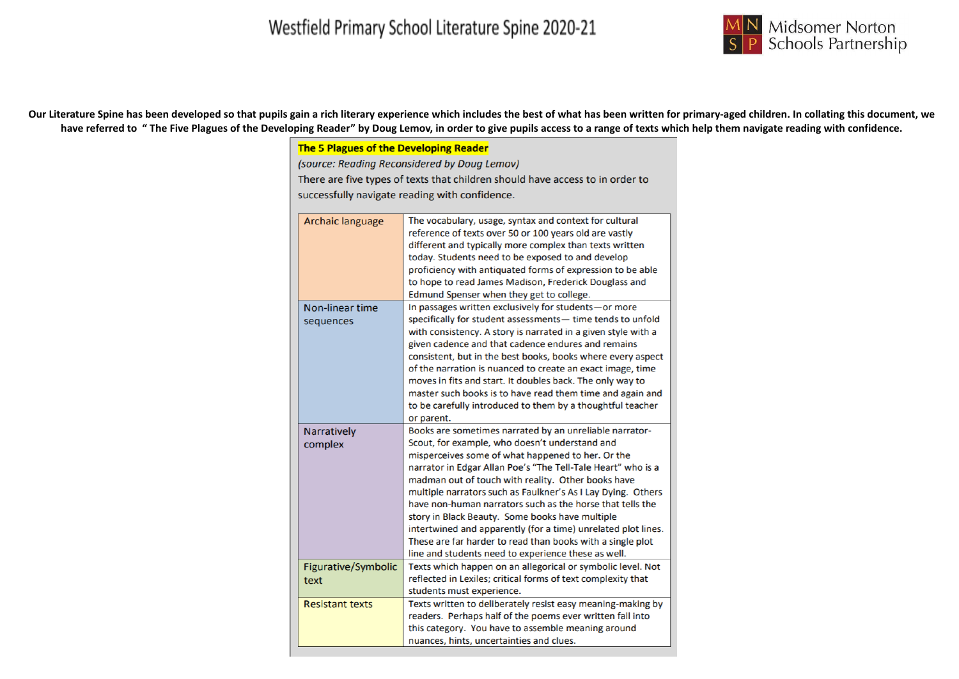

Our Literature Spine has been developed so that pupils gain a rich literary experience which includes the best of what has been written for primary-aged children. In collating this document, we have referred to "The Five Plagues of the Developing Reader" by Doug Lemov, in order to give pupils access to a range of texts which help them navigate reading with confidence.

#### The 5 Plagues of the Developing Reader

(source: Reading Reconsidered by Doug Lemov)

There are five types of texts that children should have access to in order to successfully navigate reading with confidence.

| <b>Archaic language</b>       | The vocabulary, usage, syntax and context for cultural<br>reference of texts over 50 or 100 years old are vastly<br>different and typically more complex than texts written<br>today. Students need to be exposed to and develop<br>proficiency with antiquated forms of expression to be able<br>to hope to read James Madison, Frederick Douglass and<br>Edmund Spenser when they get to college.                                                                                                                                                                                                                                                        |
|-------------------------------|------------------------------------------------------------------------------------------------------------------------------------------------------------------------------------------------------------------------------------------------------------------------------------------------------------------------------------------------------------------------------------------------------------------------------------------------------------------------------------------------------------------------------------------------------------------------------------------------------------------------------------------------------------|
| Non-linear time<br>sequences  | In passages written exclusively for students-or more<br>specifically for student assessments- time tends to unfold<br>with consistency. A story is narrated in a given style with a<br>given cadence and that cadence endures and remains<br>consistent, but in the best books, books where every aspect<br>of the narration is nuanced to create an exact image, time<br>moves in fits and start. It doubles back. The only way to<br>master such books is to have read them time and again and<br>to be carefully introduced to them by a thoughtful teacher<br>or parent.                                                                               |
| <b>Narratively</b><br>complex | Books are sometimes narrated by an unreliable narrator-<br>Scout, for example, who doesn't understand and<br>misperceives some of what happened to her. Or the<br>narrator in Edgar Allan Poe's "The Tell-Tale Heart" who is a<br>madman out of touch with reality. Other books have<br>multiple narrators such as Faulkner's As I Lay Dying. Others<br>have non-human narrators such as the horse that tells the<br>story in Black Beauty. Some books have multiple<br>intertwined and apparently (for a time) unrelated plot lines.<br>These are far harder to read than books with a single plot<br>line and students need to experience these as well. |
| Figurative/Symbolic<br>text   | Texts which happen on an allegorical or symbolic level. Not<br>reflected in Lexiles; critical forms of text complexity that<br>students must experience.                                                                                                                                                                                                                                                                                                                                                                                                                                                                                                   |
| <b>Resistant texts</b>        | Texts written to deliberately resist easy meaning-making by<br>readers. Perhaps half of the poems ever written fall into<br>this category. You have to assemble meaning around<br>nuances, hints, uncertainties and clues.                                                                                                                                                                                                                                                                                                                                                                                                                                 |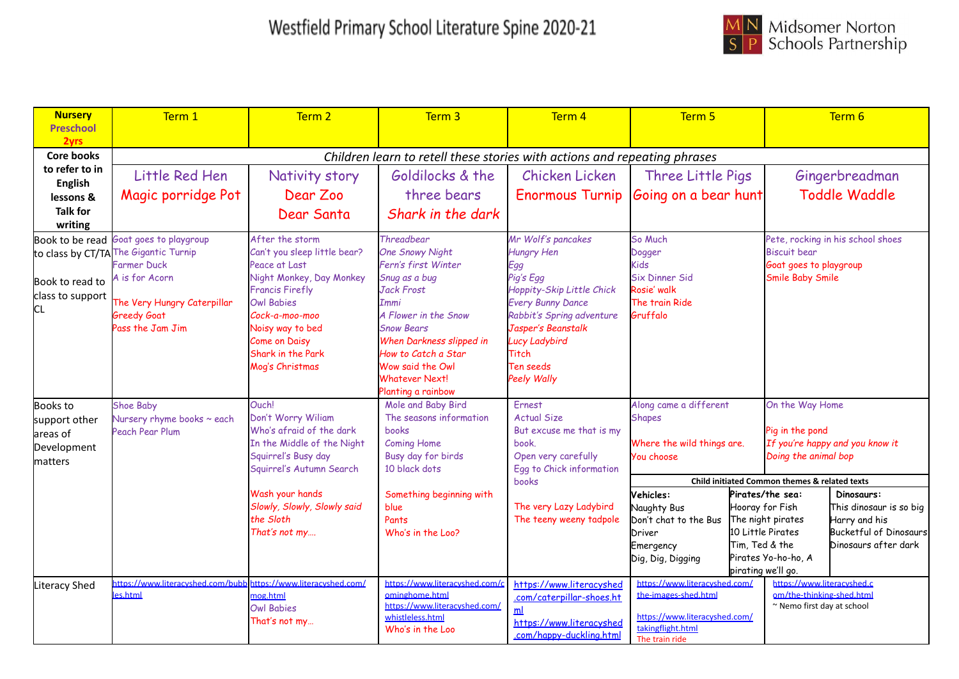

| <b>Nursery</b>            | Term 1                                        | Term <sub>2</sub>                                      | Term 3                                                                    | Term 4                                     | Term 5                                                |                    |                                                         | Term 6                                  |
|---------------------------|-----------------------------------------------|--------------------------------------------------------|---------------------------------------------------------------------------|--------------------------------------------|-------------------------------------------------------|--------------------|---------------------------------------------------------|-----------------------------------------|
| <b>Preschool</b>          |                                               |                                                        |                                                                           |                                            |                                                       |                    |                                                         |                                         |
| 2yrs<br><b>Core books</b> |                                               |                                                        |                                                                           |                                            |                                                       |                    |                                                         |                                         |
| to refer to in            |                                               |                                                        | Children learn to retell these stories with actions and repeating phrases |                                            |                                                       |                    |                                                         |                                         |
| <b>English</b>            | Little Red Hen                                | Nativity story                                         | Goldilocks & the                                                          | Chicken Licken                             | Three Little Pigs                                     |                    |                                                         | Gingerbreadman                          |
| lessons &                 | Magic porridge Pot                            | Dear Zoo                                               | three bears                                                               | <b>Enormous Turnip</b>                     | Going on a bear hunt                                  |                    |                                                         | <b>Toddle Waddle</b>                    |
| <b>Talk for</b>           |                                               | Dear Santa                                             | Shark in the dark                                                         |                                            |                                                       |                    |                                                         |                                         |
| writing                   |                                               |                                                        |                                                                           |                                            |                                                       |                    |                                                         |                                         |
|                           | Book to be read Goat goes to playgroup        | After the storm                                        | Threadbear                                                                | Mr Wolf's pancakes                         | So Much                                               |                    |                                                         | Pete, rocking in his school shoes       |
|                           | to class by CT/TA The Gigantic Turnip         | Can't you sleep little bear?                           | <b>One Snowy Night</b>                                                    | <b>Hungry Hen</b>                          | Dogger                                                |                    | <b>Biscuit bear</b>                                     |                                         |
|                           | Farmer Duck<br>A is for Acorn                 | Peace at Last<br>Night Monkey, Day Monkey              | Fern's first Winter<br>Snug as a bug                                      | Egg<br>Pig's Egg                           | Kids<br><b>Six Dinner Sid</b>                         |                    | Goat goes to playgroup<br><b>Smile Baby Smile</b>       |                                         |
| Book to read to           |                                               | <b>Francis Firefly</b>                                 | Jack Frost                                                                | Hoppity-Skip Little Chick                  | Rosie' walk                                           |                    |                                                         |                                         |
| class to support          | The Very Hungry Caterpillar                   | <b>Owl Babies</b>                                      | Immi                                                                      | <b>Every Bunny Dance</b>                   | The train Ride                                        |                    |                                                         |                                         |
| СL                        | <b>Greedy Goat</b>                            | Cock-a-moo-moo                                         | A Flower in the Snow                                                      | Rabbit's Spring adventure                  | Gruffalo                                              |                    |                                                         |                                         |
|                           | Pass the Jam Jim                              | Noisy way to bed                                       | <b>Snow Bears</b>                                                         | Jasper's Beanstalk                         |                                                       |                    |                                                         |                                         |
|                           |                                               | <b>Come on Daisy</b>                                   | When Darkness slipped in                                                  | <b>Lucy Ladybird</b>                       |                                                       |                    |                                                         |                                         |
|                           |                                               | Shark in the Park<br>Mog's Christmas                   | How to Catch a Star<br>Wow said the Owl                                   | <b>Titch</b><br>Ten seeds                  |                                                       |                    |                                                         |                                         |
|                           |                                               |                                                        | <b>Whatever Next!</b>                                                     | <b>Peely Wally</b>                         |                                                       |                    |                                                         |                                         |
|                           |                                               |                                                        | Planting a rainbow                                                        |                                            |                                                       |                    |                                                         |                                         |
| <b>Books to</b>           | <b>Shoe Baby</b>                              | Ouch!                                                  | Mole and Baby Bird                                                        | Ernest                                     | Along came a different                                |                    | On the Way Home                                         |                                         |
| support other             | Nursery rhyme books ~ each                    | Don't Worry Wiliam                                     | The seasons information                                                   | <b>Actual Size</b>                         | <b>Shapes</b>                                         |                    |                                                         |                                         |
| areas of                  | Peach Pear Plum                               | Who's afraid of the dark<br>In the Middle of the Night | books<br><b>Coming Home</b>                                               | But excuse me that is my<br>book.          | Where the wild things are.                            |                    | Pig in the pond                                         | If you're happy and you know it         |
| Development               |                                               | Squirrel's Busy day                                    | Busy day for birds                                                        | Open very carefully                        | You choose                                            |                    | Doing the animal bop                                    |                                         |
| matters                   |                                               | Squirrel's Autumn Search                               | 10 black dots                                                             | Egg to Chick information                   |                                                       |                    |                                                         |                                         |
|                           |                                               |                                                        |                                                                           | books                                      |                                                       |                    | Child initiated Common themes & related texts           |                                         |
|                           |                                               | Wash your hands                                        | Something beginning with                                                  |                                            | Vehicles:                                             |                    | Pirates/the sea:                                        | Dinosaurs:                              |
|                           |                                               | Slowly, Slowly, Slowly said<br>the Sloth               | blue                                                                      | The very Lazy Ladybird                     | Naughty Bus                                           | Hooray for Fish    |                                                         | This dinosaur is so big                 |
|                           |                                               | That's not my                                          | Pants<br>Who's in the Loo?                                                | The teeny weeny tadpole                    | Don't chat to the Bus<br>Driver                       |                    | The night pirates<br>10 Little Pirates                  | Harry and his<br>Bucketful of Dinosaurs |
|                           |                                               |                                                        |                                                                           |                                            | Emergency                                             | Tim, Ted & the     |                                                         | Dinosaurs after dark                    |
|                           |                                               |                                                        |                                                                           |                                            | Dig, Dig, Digging                                     |                    | Pirates Yo-ho-ho, A                                     |                                         |
|                           |                                               |                                                        |                                                                           |                                            |                                                       | pirating we'll go. |                                                         |                                         |
| Literacy Shed             | https://www.literacyshed.com/bubl<br>les.html | https://www.literacyshed.com/                          | https://www.literacyshed.com/<br>ominghome.html                           | https://www.literacyshed                   | https://www.literacyshed.com/<br>the-images-shed.html |                    | https://www.literacyshed.c<br>om/the-thinking-shed.html |                                         |
|                           |                                               | nog.html<br><b>Owl Babies</b>                          | https://www.literacyshed.com/                                             | .com/caterpillar-shoes.ht                  |                                                       |                    | ~ Nemo first day at school                              |                                         |
|                           |                                               | That's not my                                          | whistleless.html                                                          | m <sub>l</sub><br>https://www.literacyshed | https://www.literacyshed.com/                         |                    |                                                         |                                         |
|                           |                                               |                                                        | Who's in the Loo                                                          | .com/happy-duckling.html                   | takingflight.html<br>The train ride                   |                    |                                                         |                                         |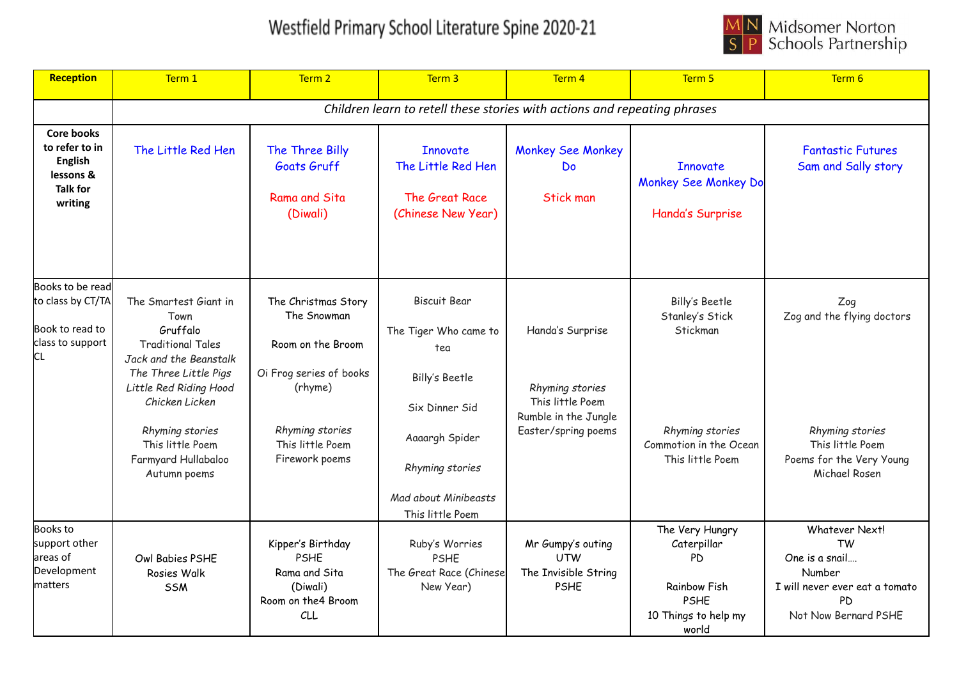

| Reception                                                                                        | Term 1                                                                                                                                                                                                                                             | Term 2                                                                                                                                                 | Term <sub>3</sub>                                                                                                                                                        | Term 4                                                                                                 | Term 5                                                                                                         | Term 6                                                                                                                  |
|--------------------------------------------------------------------------------------------------|----------------------------------------------------------------------------------------------------------------------------------------------------------------------------------------------------------------------------------------------------|--------------------------------------------------------------------------------------------------------------------------------------------------------|--------------------------------------------------------------------------------------------------------------------------------------------------------------------------|--------------------------------------------------------------------------------------------------------|----------------------------------------------------------------------------------------------------------------|-------------------------------------------------------------------------------------------------------------------------|
|                                                                                                  |                                                                                                                                                                                                                                                    |                                                                                                                                                        | Children learn to retell these stories with actions and repeating phrases                                                                                                |                                                                                                        |                                                                                                                |                                                                                                                         |
| <b>Core books</b><br>to refer to in<br><b>English</b><br>lessons &<br><b>Talk for</b><br>writing | The Little Red Hen                                                                                                                                                                                                                                 | The Three Billy<br>Goats Gruff<br>Rama and Sita<br>(Diwali)                                                                                            | <b>Innovate</b><br>The Little Red Hen<br>The Great Race<br>(Chinese New Year)                                                                                            | <b>Monkey See Monkey</b><br>Do<br><b>Stick man</b>                                                     | <b>Innovate</b><br>Monkey See Monkey Do<br>Handa's Surprise                                                    | <b>Fantastic Futures</b><br>Sam and Sally story                                                                         |
| Books to be read<br>to class by CT/TA<br>Book to read to<br>class to support<br>СL               | The Smartest Giant in<br>Town<br>Gruffalo<br><b>Traditional Tales</b><br>Jack and the Beanstalk<br>The Three Little Pigs<br>Little Red Riding Hood<br>Chicken Licken<br>Rhyming stories<br>This little Poem<br>Farmyard Hullabaloo<br>Autumn poems | The Christmas Story<br>The Snowman<br>Room on the Broom<br>Oi Frog series of books<br>(rhyme)<br>Rhyming stories<br>This little Poem<br>Firework poems | <b>Biscuit Bear</b><br>The Tiger Who came to<br>tea<br>Billy's Beetle<br>Six Dinner Sid<br>Aaaargh Spider<br>Rhyming stories<br>Mad about Minibeasts<br>This little Poem | Handa's Surprise<br>Rhyming stories<br>This little Poem<br>Rumble in the Jungle<br>Easter/spring poems | Billy's Beetle<br>Stanley's Stick<br>Stickman<br>Rhyming stories<br>Commotion in the Ocean<br>This little Poem | Zog<br>Zog and the flying doctors<br>Rhyming stories<br>This little Poem<br>Poems for the Very Young<br>Michael Rosen   |
| <b>Books</b> to<br>support other<br>areas of<br>Development<br>matters                           | Owl Babies PSHE<br>Rosies Walk<br><b>SSM</b>                                                                                                                                                                                                       | Kipper's Birthday<br><b>PSHE</b><br>Rama and Sita<br>(Diwali)<br>Room on the 4 Broom<br><b>CLL</b>                                                     | Ruby's Worries<br><b>PSHE</b><br>The Great Race (Chinese<br>New Year)                                                                                                    | Mr Gumpy's outing<br><b>UTW</b><br>The Invisible String<br><b>PSHE</b>                                 | The Very Hungry<br>Caterpillar<br>PD<br><b>Rainbow Fish</b><br><b>PSHE</b><br>10 Things to help my<br>world    | Whatever Next!<br><b>TW</b><br>One is a snail<br>Number<br>I will never ever eat a tomato<br>PD<br>Not Now Bernard PSHE |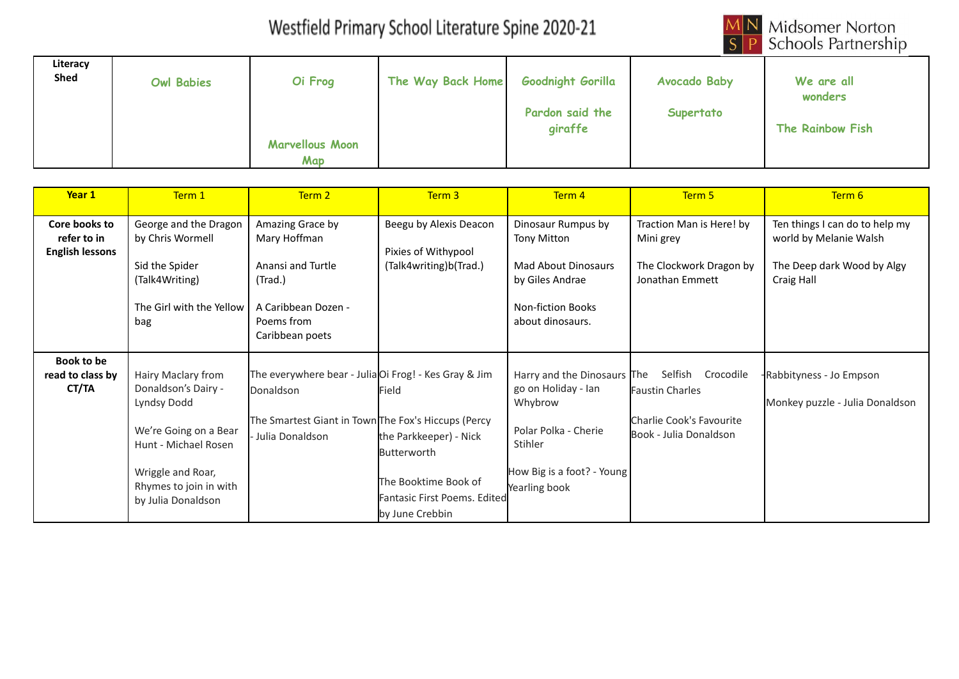

| Literacy<br>Shed | <b>Owl Babies</b> | Oi Frog                              | The Way Back Home | <b>Goodnight Gorilla</b>   | <b>Avocado Baby</b> | We are all<br>wonders |
|------------------|-------------------|--------------------------------------|-------------------|----------------------------|---------------------|-----------------------|
|                  |                   |                                      |                   | Pardon said the<br>giraffe | Supertato           | The Rainbow Fish      |
|                  |                   | <b>Marvellous Moon</b><br><b>Map</b> |                   |                            |                     |                       |

| Year 1                                                 | Term 1                                                                                                                                                                         | Term 2                                                                                                                                       | Term 3                                                                                                                           | Term 4                                                                                                                                          | Term 5                                                                                               | Term 6                                                                                               |
|--------------------------------------------------------|--------------------------------------------------------------------------------------------------------------------------------------------------------------------------------|----------------------------------------------------------------------------------------------------------------------------------------------|----------------------------------------------------------------------------------------------------------------------------------|-------------------------------------------------------------------------------------------------------------------------------------------------|------------------------------------------------------------------------------------------------------|------------------------------------------------------------------------------------------------------|
| Core books to<br>refer to in<br><b>English lessons</b> | George and the Dragon<br>by Chris Wormell<br>Sid the Spider<br>(Talk4Writing)<br>The Girl with the Yellow<br>bag                                                               | Amazing Grace by<br>Mary Hoffman<br>Anansi and Turtle<br>(Trad.)<br>A Caribbean Dozen -<br>Poems from<br>Caribbean poets                     | Beegu by Alexis Deacon<br>Pixies of Withypool<br>(Talk4writing)b(Trad.)                                                          | Dinosaur Rumpus by<br>Tony Mitton<br>Mad About Dinosaurs<br>by Giles Andrae<br><b>Non-fiction Books</b><br>about dinosaurs.                     | Traction Man is Here! by<br>Mini grey<br>The Clockwork Dragon by<br>Jonathan Emmett                  | Ten things I can do to help my<br>world by Melanie Walsh<br>The Deep dark Wood by Algy<br>Craig Hall |
| <b>Book to be</b><br>read to class by<br>CT/TA         | Hairy Maclary from<br>Donaldson's Dairy -<br>Lyndsy Dodd<br>We're Going on a Bear<br>Hunt - Michael Rosen<br>Wriggle and Roar,<br>Rhymes to join in with<br>by Julia Donaldson | The everywhere bear - Julia Oi Frog! - Kes Gray & Jim<br>Donaldson<br>The Smartest Giant in Town The Fox's Hiccups (Percy<br>Julia Donaldson | Field<br>the Parkkeeper) - Nick<br><b>Butterworth</b><br>The Booktime Book of<br>Fantasic First Poems. Edited<br>by June Crebbin | Harry and the Dinosaurs The<br>go on Holiday - Ian<br>Whybrow<br>Polar Polka - Cherie<br>Stihler<br>How Big is a foot? - Young<br>Yearling book | Selfish<br>Crocodile<br><b>Faustin Charles</b><br>Charlie Cook's Favourite<br>Book - Julia Donaldson | Rabbityness - Jo Empson<br>Monkey puzzle - Julia Donaldson                                           |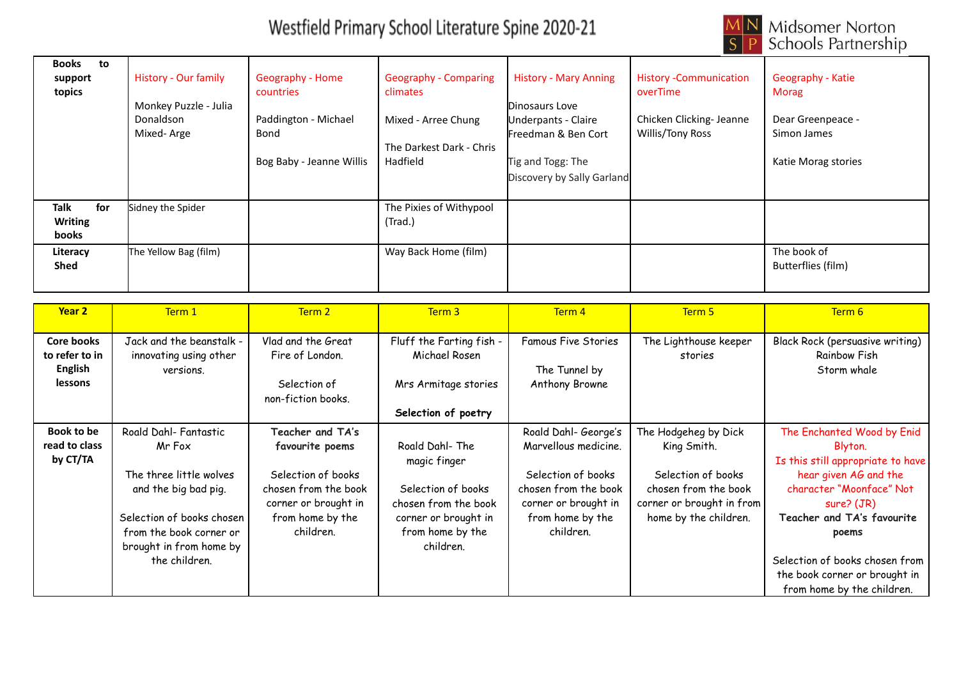

| <b>Books</b><br>to<br>support<br>topics | <b>History - Our family</b><br>Monkey Puzzle - Julia<br><b>Donaldson</b><br>Mixed-Arge | <b>Geography - Home</b><br>countries<br>Paddington - Michael<br>Bond<br>Bog Baby - Jeanne Willis | <b>Geography - Comparing</b><br>climates<br>Mixed - Arree Chung<br>The Darkest Dark - Chris<br>Hadfield | <b>History - Mary Anning</b><br>Dinosaurs Love<br>Underpants - Claire<br>Freedman & Ben Cort<br>Tig and Togg: The<br>Discovery by Sally Garland | <b>History -Communication</b><br>overTime<br>Chicken Clicking- Jeanne<br>Willis/Tony Ross | Geography - Katie<br>Morag<br>Dear Greenpeace -<br>Simon James<br>Katie Morag stories |
|-----------------------------------------|----------------------------------------------------------------------------------------|--------------------------------------------------------------------------------------------------|---------------------------------------------------------------------------------------------------------|-------------------------------------------------------------------------------------------------------------------------------------------------|-------------------------------------------------------------------------------------------|---------------------------------------------------------------------------------------|
| for<br>Talk<br><b>Writing</b><br>books  | Sidney the Spider                                                                      |                                                                                                  | The Pixies of Withypool<br>(Trad.)                                                                      |                                                                                                                                                 |                                                                                           |                                                                                       |
| Literacy<br><b>Shed</b>                 | The Yellow Bag (film)                                                                  |                                                                                                  | Way Back Home (film)                                                                                    |                                                                                                                                                 |                                                                                           | The book of<br>Butterflies (film)                                                     |

| Year 2                                                                  | Term 1                                                                                                                                                                                 | Term 2                                                                                                                                     | Term 3                                                                                                                                | Term 4                                                                                                                                              | Term 5                                                                                                                                  | Term 6                                                                                                                                                                                                                                                                                |
|-------------------------------------------------------------------------|----------------------------------------------------------------------------------------------------------------------------------------------------------------------------------------|--------------------------------------------------------------------------------------------------------------------------------------------|---------------------------------------------------------------------------------------------------------------------------------------|-----------------------------------------------------------------------------------------------------------------------------------------------------|-----------------------------------------------------------------------------------------------------------------------------------------|---------------------------------------------------------------------------------------------------------------------------------------------------------------------------------------------------------------------------------------------------------------------------------------|
| <b>Core books</b><br>to refer to in<br><b>English</b><br><b>lessons</b> | Jack and the beanstalk -<br>innovating using other<br>versions.                                                                                                                        | Vlad and the Great<br>Fire of London.<br>Selection of<br>non-fiction books.                                                                | Fluff the Farting fish -<br>Michael Rosen<br>Mrs Armitage stories<br>Selection of poetry                                              | <b>Famous Five Stories</b><br>The Tunnel by<br>Anthony Browne                                                                                       | The Lighthouse keeper<br>stories                                                                                                        | <b>Black Rock (persuasive writing)</b><br>Rainbow Fish<br>Storm whale                                                                                                                                                                                                                 |
| Book to be<br>read to class<br>by CT/TA                                 | Roald Dahl- Fantastic<br>Mr Fox<br>The three little wolves<br>and the big bad pig.<br>Selection of books chosen<br>from the book corner or<br>brought in from home by<br>the children. | Teacher and TA's<br>favourite poems<br>Selection of books<br>chosen from the book<br>corner or brought in<br>from home by the<br>children. | Roald Dahl-The<br>magic finger<br>Selection of books<br>chosen from the book<br>corner or brought in<br>from home by the<br>children. | Roald Dahl- George's<br>Marvellous medicine.<br>Selection of books<br>chosen from the book<br>corner or brought in<br>from home by the<br>children. | The Hodgeheg by Dick<br>King Smith.<br>Selection of books<br>chosen from the book<br>corner or brought in from<br>home by the children. | The Enchanted Wood by Enid<br>Blyton.<br>Is this still appropriate to have<br>hear given AG and the<br>character "Moonface" Not<br>sure? (JR)<br>Teacher and TA's favourite<br>poems<br>Selection of books chosen from<br>the book corner or brought in<br>from home by the children. |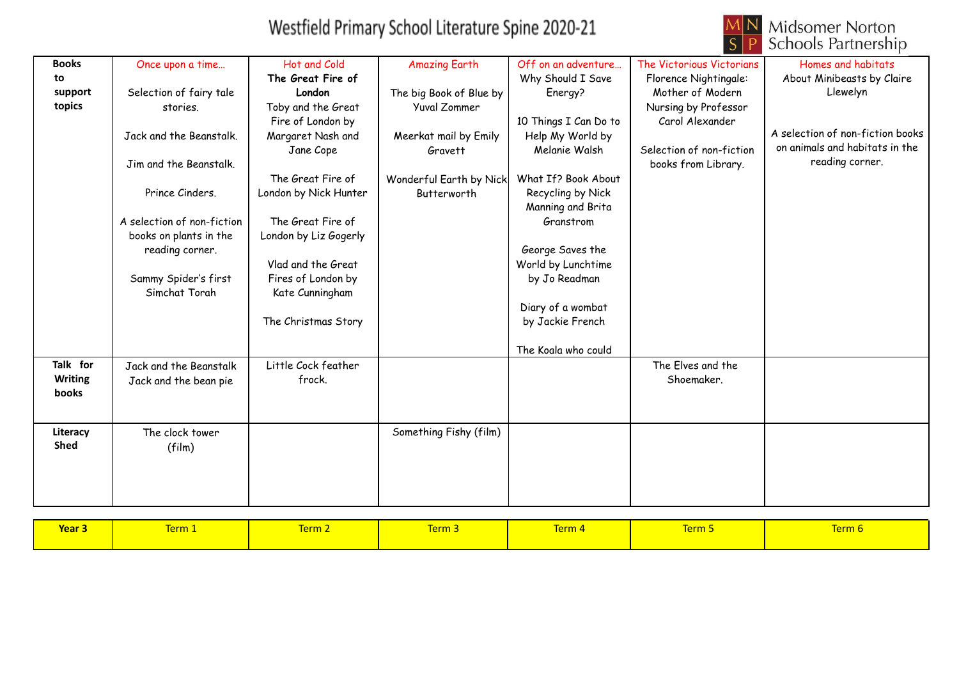

| <b>Books</b>   | Once upon a time           | Hot and Cold          | <b>Amazing Earth</b>    | Off on an adventure   | The Victorious Victorians | Homes and habitats               |
|----------------|----------------------------|-----------------------|-------------------------|-----------------------|---------------------------|----------------------------------|
| to             |                            | The Great Fire of     |                         | Why Should I Save     | Florence Nightingale:     | About Minibeasts by Claire       |
| support        | Selection of fairy tale    | London                | The big Book of Blue by | Energy?               | Mother of Modern          | Llewelyn                         |
| topics         | stories.                   | Toby and the Great    | Yuval Zommer            |                       | Nursing by Professor      |                                  |
|                |                            | Fire of London by     |                         | 10 Things I Can Do to | Carol Alexander           |                                  |
|                | Jack and the Beanstalk.    | Margaret Nash and     | Meerkat mail by Emily   | Help My World by      |                           | A selection of non-fiction books |
|                |                            | Jane Cope             | Gravett                 | Melanie Walsh         | Selection of non-fiction  | on animals and habitats in the   |
|                | Jim and the Beanstalk.     |                       |                         |                       | books from Library.       | reading corner.                  |
|                |                            | The Great Fire of     | Wonderful Earth by Nick | What If? Book About   |                           |                                  |
|                | Prince Cinders.            | London by Nick Hunter | Butterworth             | Recycling by Nick     |                           |                                  |
|                |                            |                       |                         | Manning and Brita     |                           |                                  |
|                | A selection of non-fiction | The Great Fire of     |                         | Granstrom             |                           |                                  |
|                | books on plants in the     | London by Liz Gogerly |                         |                       |                           |                                  |
|                | reading corner.            |                       |                         | George Saves the      |                           |                                  |
|                |                            | Vlad and the Great    |                         | World by Lunchtime    |                           |                                  |
|                | Sammy Spider's first       | Fires of London by    |                         | by Jo Readman         |                           |                                  |
|                | Simchat Torah              | Kate Cunningham       |                         |                       |                           |                                  |
|                |                            |                       |                         | Diary of a wombat     |                           |                                  |
|                |                            | The Christmas Story   |                         | by Jackie French      |                           |                                  |
|                |                            |                       |                         |                       |                           |                                  |
|                |                            |                       |                         | The Koala who could   |                           |                                  |
| Talk for       | Jack and the Beanstalk     | Little Cock feather   |                         |                       | The Elves and the         |                                  |
| <b>Writing</b> | Jack and the bean pie      | frock.                |                         |                       | Shoemaker.                |                                  |
| books          |                            |                       |                         |                       |                           |                                  |
|                |                            |                       |                         |                       |                           |                                  |
| Literacy       | The clock tower            |                       | Something Fishy (film)  |                       |                           |                                  |
| <b>Shed</b>    | (film)                     |                       |                         |                       |                           |                                  |
|                |                            |                       |                         |                       |                           |                                  |
|                |                            |                       |                         |                       |                           |                                  |
|                |                            |                       |                         |                       |                           |                                  |
|                |                            |                       |                         |                       |                           |                                  |

| Year <sub>3</sub> | Term 1 | Term 2 | <b>Term 3</b> | <b>Term 4</b> | Term 5 | Term 6 |
|-------------------|--------|--------|---------------|---------------|--------|--------|
|                   |        |        |               |               |        |        |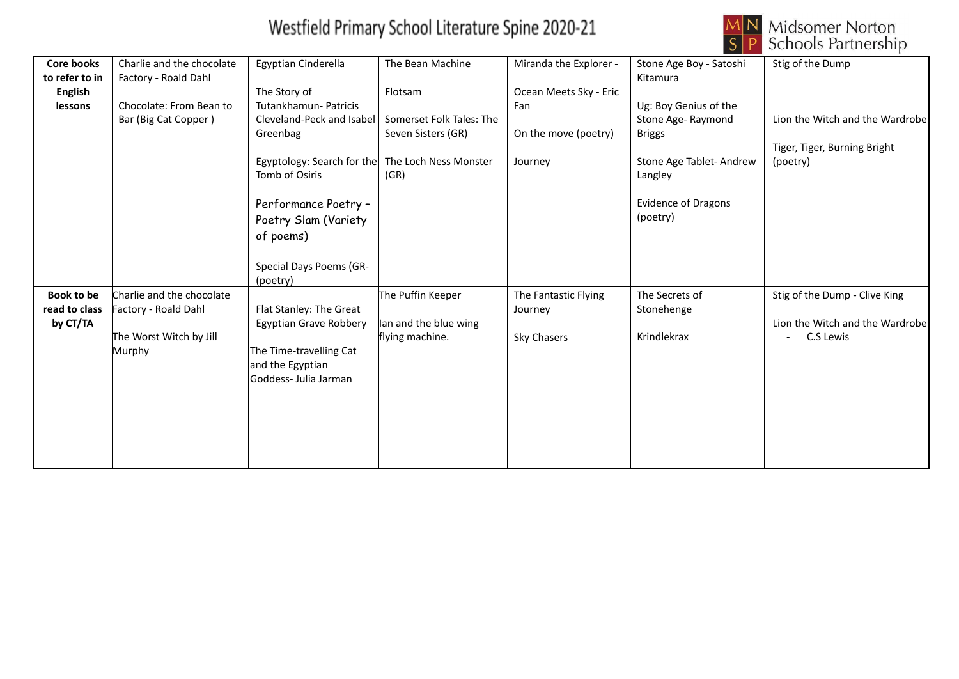

| <b>Core books</b> | Charlie and the chocolate | Egyptian Cinderella                              | The Bean Machine         | Miranda the Explorer - | Stone Age Boy - Satoshi    | Stig of the Dump                |
|-------------------|---------------------------|--------------------------------------------------|--------------------------|------------------------|----------------------------|---------------------------------|
| to refer to in    | Factory - Roald Dahl      |                                                  |                          |                        | Kitamura                   |                                 |
| <b>English</b>    |                           | The Story of                                     | Flotsam                  | Ocean Meets Sky - Eric |                            |                                 |
| lessons           | Chocolate: From Bean to   | Tutankhamun- Patricis                            |                          | Fan                    | Ug: Boy Genius of the      |                                 |
|                   | Bar (Big Cat Copper)      | Cleveland-Peck and Isabel                        | Somerset Folk Tales: The |                        | Stone Age-Raymond          | Lion the Witch and the Wardrobe |
|                   |                           | Greenbag                                         | Seven Sisters (GR)       | On the move (poetry)   | <b>Briggs</b>              |                                 |
|                   |                           |                                                  |                          |                        |                            | Tiger, Tiger, Burning Bright    |
|                   |                           | Egyptology: Search for the The Loch Ness Monster |                          | Journey                | Stone Age Tablet-Andrew    | (poetry)                        |
|                   |                           | Tomb of Osiris                                   | (GR)                     |                        | Langley                    |                                 |
|                   |                           |                                                  |                          |                        |                            |                                 |
|                   |                           | Performance Poetry -                             |                          |                        | <b>Evidence of Dragons</b> |                                 |
|                   |                           | Poetry Slam (Variety                             |                          |                        | (poetry)                   |                                 |
|                   |                           | of poems)                                        |                          |                        |                            |                                 |
|                   |                           |                                                  |                          |                        |                            |                                 |
|                   |                           | Special Days Poems (GR-                          |                          |                        |                            |                                 |
|                   |                           | (poetry)                                         |                          |                        |                            |                                 |
| Book to be        | Charlie and the chocolate |                                                  | The Puffin Keeper        | The Fantastic Flying   | The Secrets of             | Stig of the Dump - Clive King   |
| read to class     | Factory - Roald Dahl      | Flat Stanley: The Great                          |                          | Journey                | Stonehenge                 |                                 |
| by CT/TA          |                           | Egyptian Grave Robbery                           | lan and the blue wing    |                        |                            | Lion the Witch and the Wardrobe |
|                   | The Worst Witch by Jill   |                                                  | flying machine.          | Sky Chasers            | Krindlekrax                | C.S Lewis                       |
|                   | Murphy                    | The Time-travelling Cat                          |                          |                        |                            |                                 |
|                   |                           | and the Egyptian                                 |                          |                        |                            |                                 |
|                   |                           | Goddess- Julia Jarman                            |                          |                        |                            |                                 |
|                   |                           |                                                  |                          |                        |                            |                                 |
|                   |                           |                                                  |                          |                        |                            |                                 |
|                   |                           |                                                  |                          |                        |                            |                                 |
|                   |                           |                                                  |                          |                        |                            |                                 |
|                   |                           |                                                  |                          |                        |                            |                                 |
|                   |                           |                                                  |                          |                        |                            |                                 |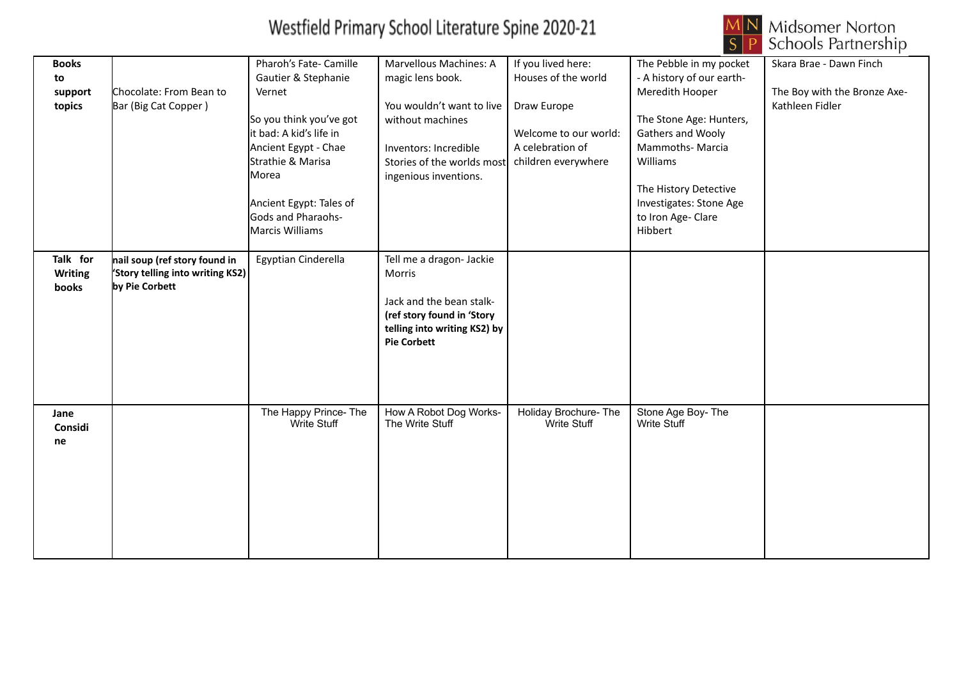

| <b>Books</b>   |                                        | Pharoh's Fate- Camille               | Marvellous Machines: A                    | If you lived here:                   | The Pebble in my pocket                 | Skara Brae - Dawn Finch      |
|----------------|----------------------------------------|--------------------------------------|-------------------------------------------|--------------------------------------|-----------------------------------------|------------------------------|
| to             |                                        | Gautier & Stephanie                  | magic lens book.                          | Houses of the world                  | - A history of our earth-               |                              |
| support        | Chocolate: From Bean to                | Vernet                               |                                           |                                      | Meredith Hooper                         | The Boy with the Bronze Axe- |
| topics         | Bar (Big Cat Copper)                   |                                      | You wouldn't want to live                 | Draw Europe                          |                                         | Kathleen Fidler              |
|                |                                        | So you think you've got              | without machines                          |                                      | The Stone Age: Hunters,                 |                              |
|                |                                        | lit bad: A kid's life in             |                                           | Welcome to our world:                | Gathers and Wooly                       |                              |
|                |                                        | Ancient Egypt - Chae                 | Inventors: Incredible                     | A celebration of                     | Mammoths-Marcia                         |                              |
|                |                                        | Strathie & Marisa                    | Stories of the worlds most                | children everywhere                  | Williams                                |                              |
|                |                                        | Morea                                | ingenious inventions.                     |                                      |                                         |                              |
|                |                                        |                                      |                                           |                                      | The History Detective                   |                              |
|                |                                        | Ancient Egypt: Tales of              |                                           |                                      | Investigates: Stone Age                 |                              |
|                |                                        | Gods and Pharaohs-                   |                                           |                                      | to Iron Age- Clare                      |                              |
|                |                                        | Marcis Williams                      |                                           |                                      | Hibbert                                 |                              |
|                |                                        |                                      |                                           |                                      |                                         |                              |
| Talk for       | nail soup (ref story found in          | Egyptian Cinderella                  | Tell me a dragon- Jackie                  |                                      |                                         |                              |
| <b>Writing</b> | <b>Story telling into writing KS2)</b> |                                      | Morris                                    |                                      |                                         |                              |
| books          | by Pie Corbett                         |                                      |                                           |                                      |                                         |                              |
|                |                                        |                                      | Jack and the bean stalk-                  |                                      |                                         |                              |
|                |                                        |                                      |                                           |                                      |                                         |                              |
|                |                                        |                                      | (ref story found in 'Story                |                                      |                                         |                              |
|                |                                        |                                      | telling into writing KS2) by              |                                      |                                         |                              |
|                |                                        |                                      | <b>Pie Corbett</b>                        |                                      |                                         |                              |
|                |                                        |                                      |                                           |                                      |                                         |                              |
|                |                                        |                                      |                                           |                                      |                                         |                              |
|                |                                        |                                      |                                           |                                      |                                         |                              |
|                |                                        |                                      |                                           |                                      |                                         |                              |
| Jane           |                                        | The Happy Prince- The<br>Write Stuff | How A Robot Dog Works-<br>The Write Stuff | Holiday Brochure- The<br>Write Stuff | Stone Age Boy-The<br><b>Write Stuff</b> |                              |
| Considi        |                                        |                                      |                                           |                                      |                                         |                              |
| ne             |                                        |                                      |                                           |                                      |                                         |                              |
|                |                                        |                                      |                                           |                                      |                                         |                              |
|                |                                        |                                      |                                           |                                      |                                         |                              |
|                |                                        |                                      |                                           |                                      |                                         |                              |
|                |                                        |                                      |                                           |                                      |                                         |                              |
|                |                                        |                                      |                                           |                                      |                                         |                              |
|                |                                        |                                      |                                           |                                      |                                         |                              |
|                |                                        |                                      |                                           |                                      |                                         |                              |
|                |                                        |                                      |                                           |                                      |                                         |                              |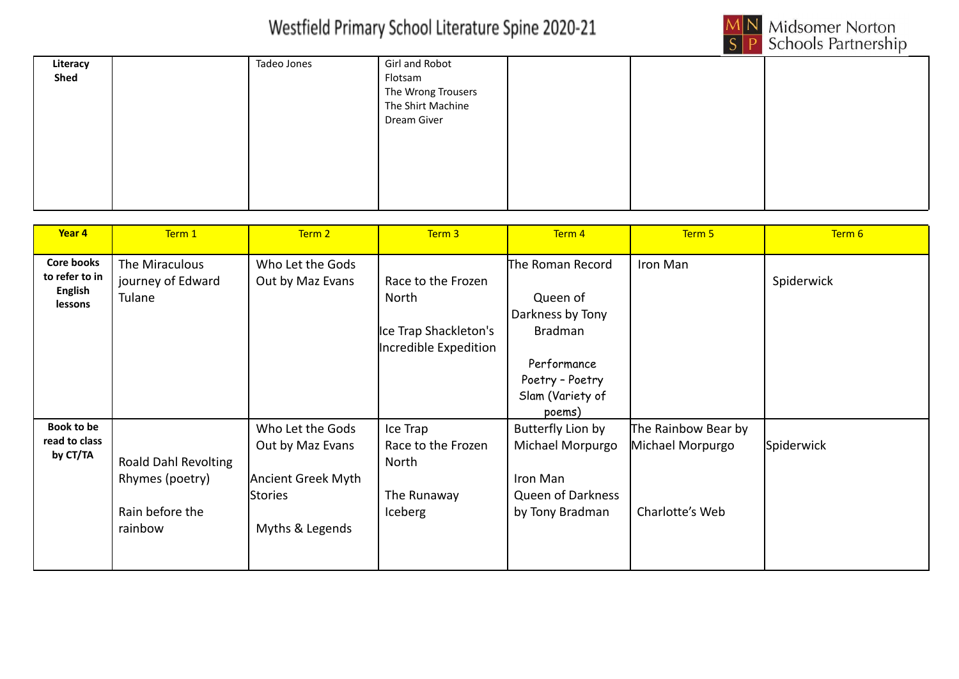

| Literacy<br>Shed | Tadeo Jones | Girl and Robot<br>Flotsam<br>The Wrong Trousers<br>The Shirt Machine<br>Dream Giver |  |  |
|------------------|-------------|-------------------------------------------------------------------------------------|--|--|
|                  |             |                                                                                     |  |  |

| Year 4                                                           | Term 1                                                                | Term 2                                                                                   | Term 3                                                                        | Term 4                                                                                                                             | Term 5                                                     | Term 6     |
|------------------------------------------------------------------|-----------------------------------------------------------------------|------------------------------------------------------------------------------------------|-------------------------------------------------------------------------------|------------------------------------------------------------------------------------------------------------------------------------|------------------------------------------------------------|------------|
| <b>Core books</b><br>to refer to in<br><b>English</b><br>lessons | The Miraculous<br>journey of Edward<br>Tulane                         | Who Let the Gods<br>Out by Maz Evans                                                     | Race to the Frozen<br>North<br>Ice Trap Shackleton's<br>Incredible Expedition | The Roman Record<br>Queen of<br>Darkness by Tony<br><b>Bradman</b><br>Performance<br>Poetry - Poetry<br>Slam (Variety of<br>poems) | Iron Man                                                   | Spiderwick |
| <b>Book to be</b><br>read to class<br>by CT/TA                   | Roald Dahl Revolting<br>Rhymes (poetry)<br>Rain before the<br>rainbow | Who Let the Gods<br>Out by Maz Evans<br>Ancient Greek Myth<br>Stories<br>Myths & Legends | Ice Trap<br>Race to the Frozen<br>North<br>The Runaway<br>Iceberg             | Butterfly Lion by<br>Michael Morpurgo<br>Iron Man<br><b>Queen of Darkness</b><br>by Tony Bradman                                   | The Rainbow Bear by<br>Michael Morpurgo<br>Charlotte's Web | Spiderwick |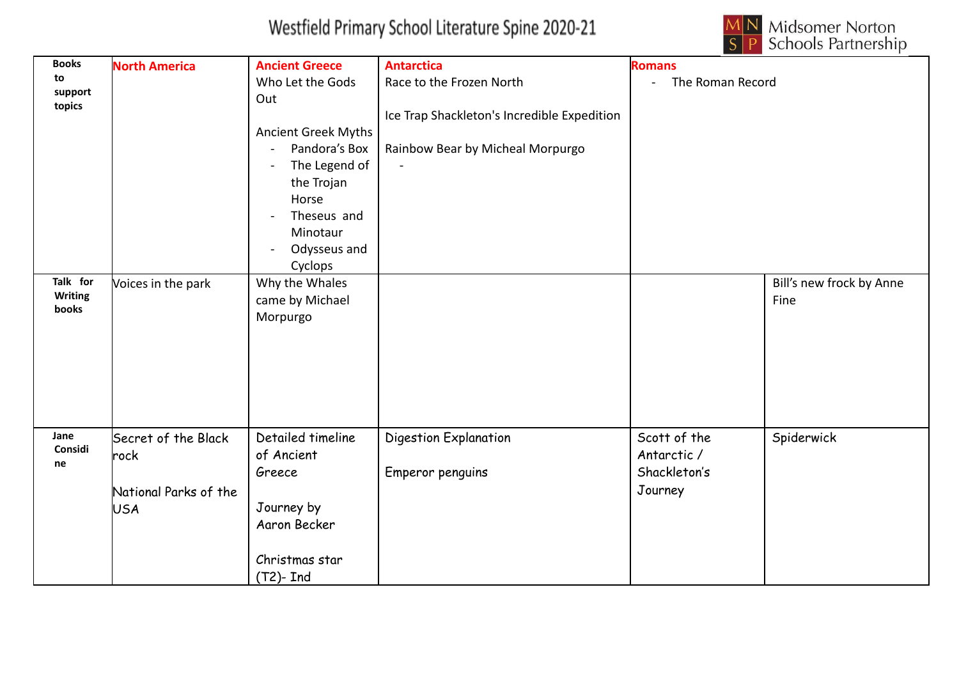

| <b>Books</b>            | <b>North America</b>  | <b>Ancient Greece</b>      | <b>Antarctica</b>                           | <b>Romans</b>    |                          |
|-------------------------|-----------------------|----------------------------|---------------------------------------------|------------------|--------------------------|
| to                      |                       | Who Let the Gods           | Race to the Frozen North                    | The Roman Record |                          |
| support                 |                       | Out                        |                                             |                  |                          |
| topics                  |                       |                            | Ice Trap Shackleton's Incredible Expedition |                  |                          |
|                         |                       | <b>Ancient Greek Myths</b> |                                             |                  |                          |
|                         |                       | Pandora's Box              | Rainbow Bear by Micheal Morpurgo            |                  |                          |
|                         |                       | The Legend of              |                                             |                  |                          |
|                         |                       | the Trojan                 |                                             |                  |                          |
|                         |                       | Horse                      |                                             |                  |                          |
|                         |                       | Theseus and                |                                             |                  |                          |
|                         |                       | Minotaur                   |                                             |                  |                          |
|                         |                       | Odysseus and               |                                             |                  |                          |
|                         |                       | Cyclops                    |                                             |                  |                          |
| Talk for                | Voices in the park    | Why the Whales             |                                             |                  | Bill's new frock by Anne |
| <b>Writing</b><br>books |                       | came by Michael            |                                             |                  | Fine                     |
|                         |                       | Morpurgo                   |                                             |                  |                          |
|                         |                       |                            |                                             |                  |                          |
|                         |                       |                            |                                             |                  |                          |
|                         |                       |                            |                                             |                  |                          |
|                         |                       |                            |                                             |                  |                          |
|                         |                       |                            |                                             |                  |                          |
|                         |                       |                            |                                             |                  |                          |
| Jane                    | Secret of the Black   | Detailed timeline          | Digestion Explanation                       | Scott of the     | Spiderwick               |
| Considi<br>ne           | rock                  | of Ancient                 |                                             | Antarctic /      |                          |
|                         |                       | Greece                     | Emperor penguins                            | Shackleton's     |                          |
|                         | National Parks of the |                            |                                             | Journey          |                          |
|                         | <b>USA</b>            | Journey by                 |                                             |                  |                          |
|                         |                       | Aaron Becker               |                                             |                  |                          |
|                         |                       |                            |                                             |                  |                          |
|                         |                       | Christmas star             |                                             |                  |                          |
|                         |                       | $(T2)$ - Ind               |                                             |                  |                          |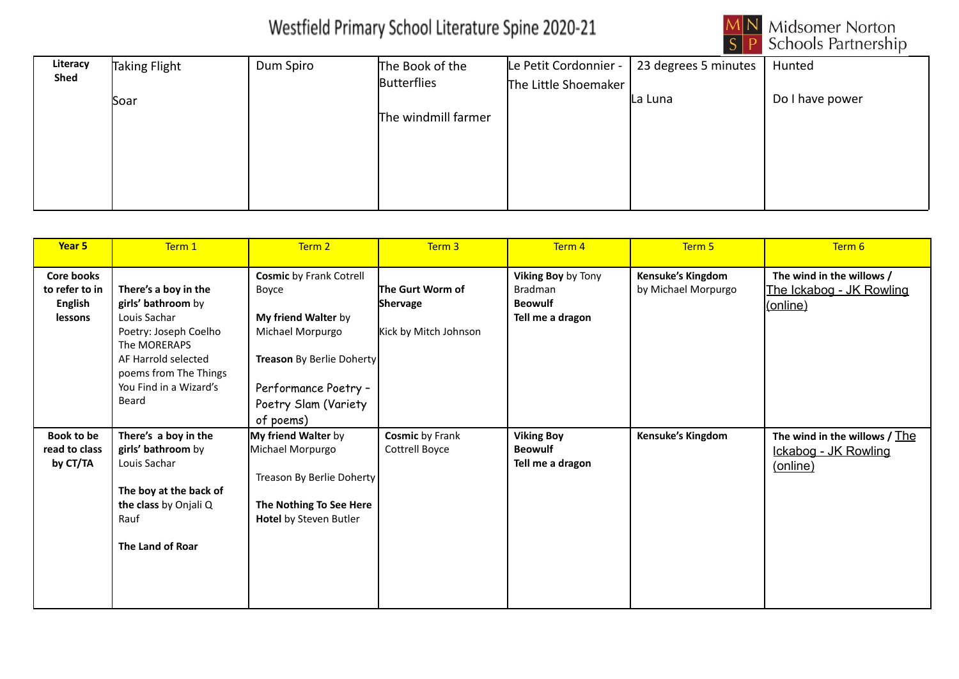

| Literacy    | Taking Flight | Dum Spiro | The Book of the     | Le Petit Cordonnier - | 23 degrees 5 minutes | Hunted          |
|-------------|---------------|-----------|---------------------|-----------------------|----------------------|-----------------|
| <b>Shed</b> |               |           | <b>Butterflies</b>  | The Little Shoemaker  |                      |                 |
|             | Soar          |           |                     |                       | La Luna              | Do I have power |
|             |               |           | The windmill farmer |                       |                      |                 |
|             |               |           |                     |                       |                      |                 |
|             |               |           |                     |                       |                      |                 |
|             |               |           |                     |                       |                      |                 |
|             |               |           |                     |                       |                      |                 |

| Year <sub>5</sub>                                                | Term 1                                                                                                                                                                                 | Term 2                                                                                                                                                                       | Term 3                                                | Term 4                                                                     | Term 5                                   | Term 6                                                              |
|------------------------------------------------------------------|----------------------------------------------------------------------------------------------------------------------------------------------------------------------------------------|------------------------------------------------------------------------------------------------------------------------------------------------------------------------------|-------------------------------------------------------|----------------------------------------------------------------------------|------------------------------------------|---------------------------------------------------------------------|
| <b>Core books</b><br>to refer to in<br><b>English</b><br>lessons | There's a boy in the<br>girls' bathroom by<br>Louis Sachar<br>Poetry: Joseph Coelho<br>The MORERAPS<br>AF Harrold selected<br>poems from The Things<br>You Find in a Wizard's<br>Beard | <b>Cosmic by Frank Cotrell</b><br>Boyce<br>My friend Walter by<br>Michael Morpurgo<br>Treason By Berlie Doherty<br>Performance Poetry -<br>Poetry Slam (Variety<br>of poems) | The Gurt Worm of<br>Shervage<br>Kick by Mitch Johnson | Viking Boy by Tony<br><b>Bradman</b><br><b>Beowulf</b><br>Tell me a dragon | Kensuke's Kingdom<br>by Michael Morpurgo | The wind in the willows /<br>The Ickabog - JK Rowling<br>(online)   |
| <b>Book to be</b><br>read to class<br>by CT/TA                   | There's a boy in the<br>girls' bathroom by<br>Louis Sachar<br>The boy at the back of<br>the class by Onjali Q<br>Rauf<br>The Land of Roar                                              | My friend Walter by<br>Michael Morpurgo<br>Treason By Berlie Doherty<br>The Nothing To See Here<br><b>Hotel by Steven Butler</b>                                             | <b>Cosmic by Frank</b><br>Cottrell Boyce              | <b>Viking Boy</b><br><b>Beowulf</b><br>Tell me a dragon                    | Kensuke's Kingdom                        | The wind in the willows $/$ The<br>Ickabog - JK Rowling<br>(online) |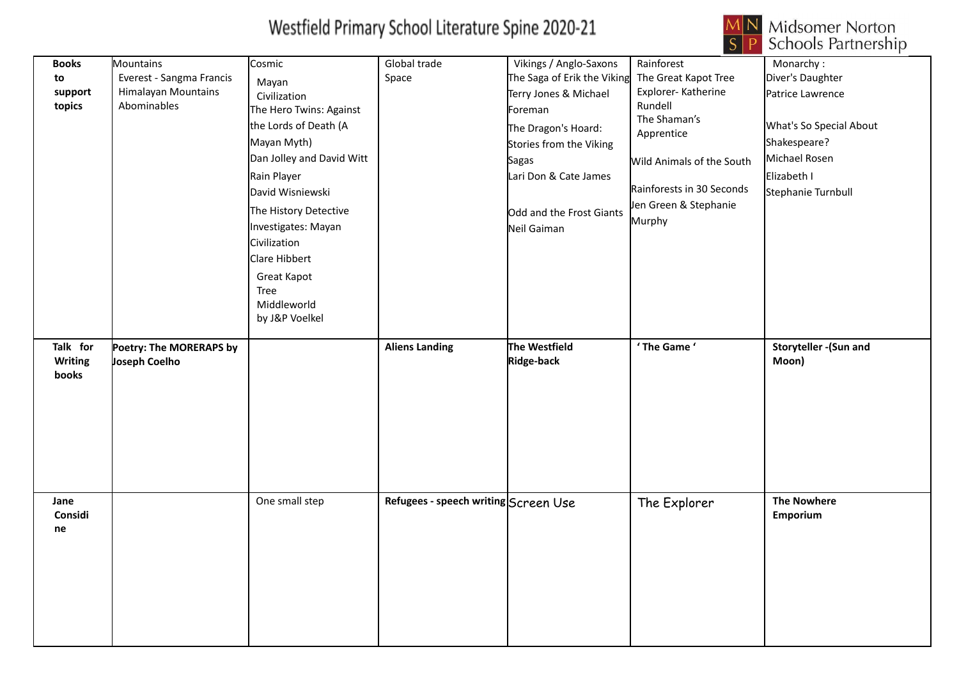

| <b>Books</b><br>to<br>support<br>topics | Mountains<br>Everest - Sangma Francis<br>Himalayan Mountains<br>Abominables | Cosmic<br>Mayan<br>Civilization<br>The Hero Twins: Against<br>the Lords of Death (A<br>Mayan Myth)<br>Dan Jolley and David Witt<br>Rain Player<br>David Wisniewski<br>The History Detective<br>Investigates: Mayan<br>Civilization<br>Clare Hibbert<br><b>Great Kapot</b><br>Tree<br>Middleworld<br>by J&P Voelkel | Global trade<br>Space                | Vikings / Anglo-Saxons<br>The Saga of Erik the Viking<br>Terry Jones & Michael<br>Foreman<br>The Dragon's Hoard:<br>Stories from the Viking<br>Sagas<br>Lari Don & Cate James<br>Odd and the Frost Giants<br>Neil Gaiman | Rainforest<br>The Great Kapot Tree<br>Explorer-Katherine<br>Rundell<br>The Shaman's<br>Apprentice<br>Wild Animals of the South<br>Rainforests in 30 Seconds<br>Jen Green & Stephanie<br>Murphy | Monarchy:<br>Diver's Daughter<br>Patrice Lawrence<br>What's So Special About<br>Shakespeare?<br>Michael Rosen<br>Elizabeth I<br>Stephanie Turnbull |
|-----------------------------------------|-----------------------------------------------------------------------------|--------------------------------------------------------------------------------------------------------------------------------------------------------------------------------------------------------------------------------------------------------------------------------------------------------------------|--------------------------------------|--------------------------------------------------------------------------------------------------------------------------------------------------------------------------------------------------------------------------|------------------------------------------------------------------------------------------------------------------------------------------------------------------------------------------------|----------------------------------------------------------------------------------------------------------------------------------------------------|
| Talk for<br><b>Writing</b><br>books     | Poetry: The MORERAPS by<br>Joseph Coelho                                    |                                                                                                                                                                                                                                                                                                                    | <b>Aliens Landing</b>                | The Westfield<br>Ridge-back                                                                                                                                                                                              | ' The Game '                                                                                                                                                                                   | Storyteller - (Sun and<br>Moon)                                                                                                                    |
| Jane<br>Considi<br>ne                   |                                                                             | One small step                                                                                                                                                                                                                                                                                                     | Refugees - speech writing Screen Use |                                                                                                                                                                                                                          | The Explorer                                                                                                                                                                                   | <b>The Nowhere</b><br>Emporium                                                                                                                     |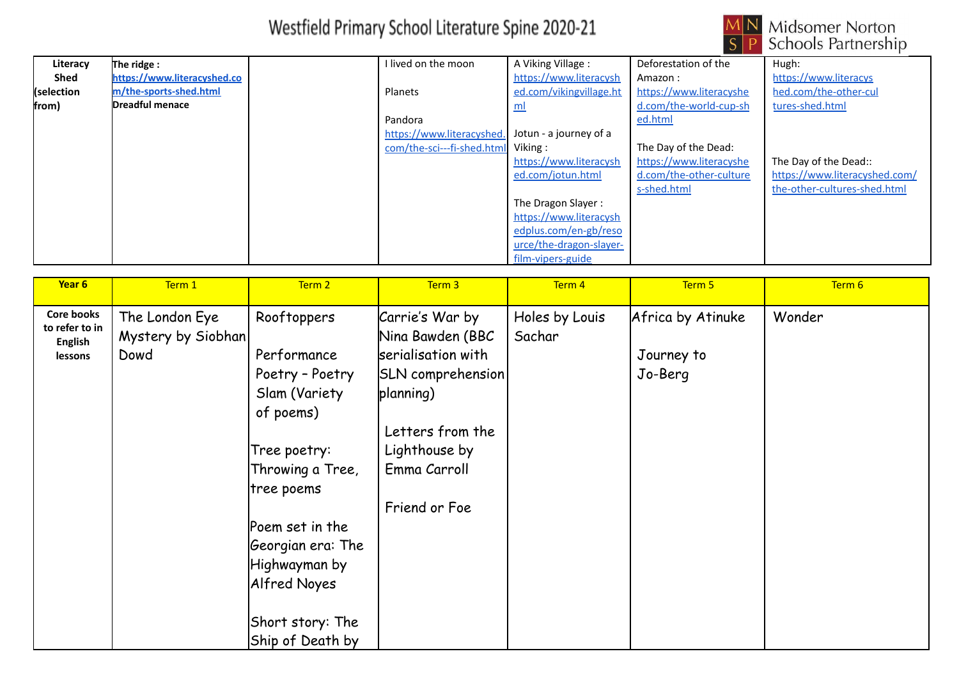

| Literacy   | The ridge :                 | l lived on the moon        | A Viking Village:         | Deforestation of the    | Hugh:                         |
|------------|-----------------------------|----------------------------|---------------------------|-------------------------|-------------------------------|
| Shed       | https://www.literacyshed.co |                            | https://www.literacysh    | Amazon:                 | https://www.literacys         |
| (selection | m/the-sports-shed.html      | Planets                    | ed.com/vikingvillage.ht   | https://www.literacyshe | hed.com/the-other-cul         |
| from)      | Dreadful menace             |                            | $\underline{\mathsf{ml}}$ | d.com/the-world-cup-sh  | tures-shed.html               |
|            |                             | Pandora                    |                           | ed.html                 |                               |
|            |                             | https://www.literacyshed.  | Jotun - a journey of a    |                         |                               |
|            |                             | com/the-sci---fi-shed.html | Viking:                   | The Day of the Dead:    |                               |
|            |                             |                            | https://www.literacysh    | https://www.literacyshe | The Day of the Dead::         |
|            |                             |                            | ed.com/jotun.html         | d.com/the-other-culture | https://www.literacyshed.com/ |
|            |                             |                            |                           | s-shed.html             | the-other-cultures-shed.html  |
|            |                             |                            | The Dragon Slayer:        |                         |                               |
|            |                             |                            | https://www.literacysh    |                         |                               |
|            |                             |                            | edplus.com/en-gb/reso     |                         |                               |
|            |                             |                            | urce/the-dragon-slayer-   |                         |                               |
|            |                             |                            | film-vipers-guide         |                         |                               |

| Year 6                                                           | Term 1                                       | Term 2                                                                                                                                                                                                                                          | Term 3                                                                                                                                                                   | Term 4                   | Term 5                                     | Term 6 |
|------------------------------------------------------------------|----------------------------------------------|-------------------------------------------------------------------------------------------------------------------------------------------------------------------------------------------------------------------------------------------------|--------------------------------------------------------------------------------------------------------------------------------------------------------------------------|--------------------------|--------------------------------------------|--------|
| <b>Core books</b><br>to refer to in<br><b>English</b><br>lessons | The London Eye<br>Mystery by Siobhan<br>Dowd | Rooftoppers<br>Performance<br>Poetry - Poetry<br>Slam (Variety<br>of poems)<br>Tree poetry:<br>Throwing a Tree,<br> tree poems<br>Poem set in the<br>Georgian era: The<br>Highwayman by<br>Alfred Noyes<br>Short story: The<br>Ship of Death by | Carrie's War by<br>Nina Bawden (BBC<br>serialisation with<br><b>SLN</b> comprehension<br>planning)<br>Letters from the<br>Lighthouse by<br>Emma Carroll<br>Friend or Foe | Holes by Louis<br>Sachar | Africa by Atinuke<br>Journey to<br>Jo-Berg | Wonder |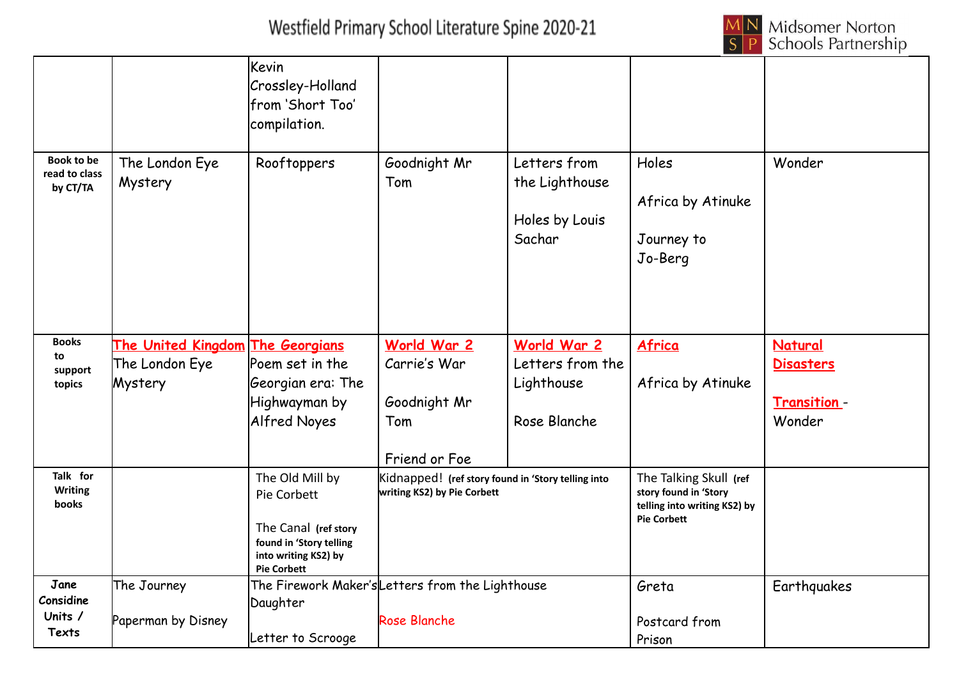

|                                                |                                                                      | Kevin<br>Crossley-Holland<br>lfrom 'Short Too'<br>compilation.                                                                  |                                                                                   |                                                               |                                                                                                       |                                                             |
|------------------------------------------------|----------------------------------------------------------------------|---------------------------------------------------------------------------------------------------------------------------------|-----------------------------------------------------------------------------------|---------------------------------------------------------------|-------------------------------------------------------------------------------------------------------|-------------------------------------------------------------|
| <b>Book to be</b><br>read to class<br>by CT/TA | The London Eye<br>Mystery                                            | Rooftoppers                                                                                                                     | Goodnight Mr<br>Tom                                                               | Letters from<br>the Lighthouse<br>Holes by Louis<br>Sachar    | Holes<br>Africa by Atinuke<br>Journey to<br>Jo-Berg                                                   | Wonder                                                      |
| <b>Books</b><br>to<br>support<br>topics        | <u>The United Kingdom The Georgians</u><br>The London Eye<br>Mystery | Poem set in the<br>Georgian era: The<br>Highwayman by<br><b>Alfred Noyes</b>                                                    | World War 2<br>Carrie's War<br>Goodnight Mr<br>Tom<br>Friend or Foe               | World War 2<br>Letters from the<br>Lighthouse<br>Rose Blanche | Africa<br>Africa by Atinuke                                                                           | <b>Natural</b><br><b>Disasters</b><br>Transition-<br>Wonder |
| Talk for<br><b>Writing</b><br><b>books</b>     |                                                                      | The Old Mill by<br>Pie Corbett<br>The Canal (ref story<br>found in 'Story telling<br>into writing KS2) by<br><b>Pie Corbett</b> | Kidnapped! (ref story found in 'Story telling into<br>writing KS2) by Pie Corbett |                                                               | The Talking Skull (ref<br>story found in 'Story<br>telling into writing KS2) by<br><b>Pie Corbett</b> |                                                             |
| Jane<br>Considine<br>Units /<br>Texts          | The Journey<br>Paperman by Disney                                    | Daughter<br>Letter to Scrooge                                                                                                   | The Firework Maker's Letters from the Lighthouse<br>Rose Blanche                  |                                                               | Greta<br>Postcard from<br>Prison                                                                      | Earthquakes                                                 |